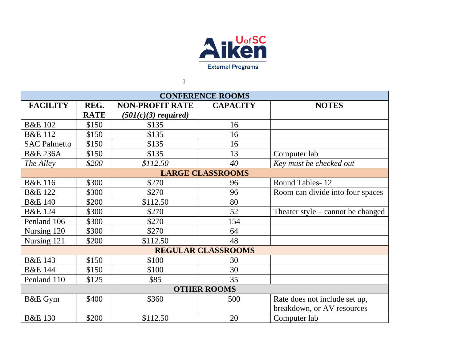

1

| <b>CONFERENCE ROOMS</b>   |             |                        |                 |                                   |  |  |  |
|---------------------------|-------------|------------------------|-----------------|-----------------------------------|--|--|--|
| <b>FACILITY</b>           | REG.        | <b>NON-PROFIT RATE</b> | <b>CAPACITY</b> | <b>NOTES</b>                      |  |  |  |
|                           | <b>RATE</b> | $(501(c)(3)$ required) |                 |                                   |  |  |  |
| <b>B&amp;E 102</b>        | \$150       | \$135                  | 16              |                                   |  |  |  |
| <b>B&amp;E</b> 112        | \$150       | \$135                  | 16              |                                   |  |  |  |
| <b>SAC Palmetto</b>       | \$150       | \$135                  | 16              |                                   |  |  |  |
| <b>B&amp;E 236A</b>       | \$150       | \$135                  | 13              | Computer lab                      |  |  |  |
| The Alley                 | \$200       | \$112.50               | 40              | Key must be checked out           |  |  |  |
| <b>LARGE CLASSROOMS</b>   |             |                        |                 |                                   |  |  |  |
| <b>B&amp;E</b> 116        | \$300       | \$270                  | 96              | Round Tables-12                   |  |  |  |
| <b>B&amp;E 122</b>        | \$300       | \$270                  | 96              | Room can divide into four spaces  |  |  |  |
| <b>B&amp;E 140</b>        | \$200       | \$112.50               | 80              |                                   |  |  |  |
| <b>B&amp;E 124</b>        | \$300       | \$270                  | 52              | Theater style – cannot be changed |  |  |  |
| Penland 106               | \$300       | \$270                  | 154             |                                   |  |  |  |
| Nursing 120               | \$300       | \$270                  | 64              |                                   |  |  |  |
| Nursing 121               | \$200       | \$112.50               | 48              |                                   |  |  |  |
| <b>REGULAR CLASSROOMS</b> |             |                        |                 |                                   |  |  |  |
| <b>B&amp;E 143</b>        | \$150       | \$100                  | 30              |                                   |  |  |  |
| <b>B&amp;E 144</b>        | \$150       | \$100                  | 30              |                                   |  |  |  |
| Penland 110               | \$125       | \$85                   | 35              |                                   |  |  |  |
| <b>OTHER ROOMS</b>        |             |                        |                 |                                   |  |  |  |
| B&E Gym                   | \$400       | \$360                  | 500             | Rate does not include set up,     |  |  |  |
|                           |             |                        |                 | breakdown, or AV resources        |  |  |  |
| <b>B&amp;E 130</b>        | \$200       | \$112.50               | 20              | Computer lab                      |  |  |  |